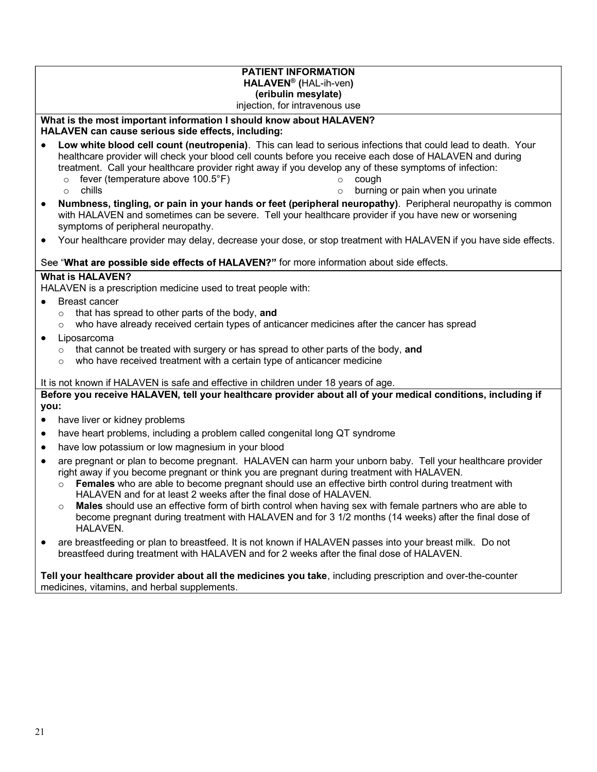### PATIENT INFORMATION HALAVEN® (HAL-ih-ven) (eribulin mesylate)

#### injection, for intravenous use

### What is the most important information I should know about HALAVEN? HALAVEN can cause serious side effects, including:

- Low white blood cell count (neutropenia). This can lead to serious infections that could lead to death. Your healthcare provider will check your blood cell counts before you receive each dose of HALAVEN and during treatment. Call your healthcare provider right away if you develop any of these symptoms of infection: o cough
	- o fever (temperature above 100.5°F) o chills
- $\circ$  burning or pain when you urinate
- Numbness, tingling, or pain in your hands or feet (peripheral neuropathy). Peripheral neuropathy is common  $\bullet$ with HALAVEN and sometimes can be severe. Tell your healthcare provider if you have new or worsening symptoms of peripheral neuropathy.
- $\bullet$ Your healthcare provider may delay, decrease your dose, or stop treatment with HALAVEN if you have side effects.

### See "What are possible side effects of HALAVEN?" for more information about side effects.

### What is HALAVEN?

HALAVEN is a prescription medicine used to treat people with:

- $\bullet$ Breast cancer
	- $\circ$  that has spread to other parts of the body, and
	- $\circ$  who have already received certain types of anticancer medicines after the cancer has spread
- Liposarcoma
	- $\circ$  that cannot be treated with surgery or has spread to other parts of the body, and
	- $\circ$  who have received treatment with a certain type of anticancer medicine

It is not known if HALAVEN is safe and effective in children under 18 years of age.

Before you receive HALAVEN, tell your healthcare provider about all of your medical conditions, including if you:

- have liver or kidney problems  $\bullet$
- have heart problems, including a problem called congenital long QT syndrome
- have low potassium or low magnesium in your blood
- are pregnant or plan to become pregnant. HALAVEN can harm your unborn baby. Tell your healthcare provider right away if you become pregnant or think you are pregnant during treatment with HALAVEN.
	- $\circ$  Females who are able to become pregnant should use an effective birth control during treatment with HALAVEN and for at least 2 weeks after the final dose of HALAVEN.
	- $\circ$  Males should use an effective form of birth control when having sex with female partners who are able to become pregnant during treatment with HALAVEN and for 3 1/2 months (14 weeks) after the final dose of HALAVEN.
- are breastfeeding or plan to breastfeed. It is not known if HALAVEN passes into your breast milk. Do not  $\bullet$ breastfeed during treatment with HALAVEN and for 2 weeks after the final dose of HALAVEN.

Tell your healthcare provider about all the medicines you take, including prescription and over-the-counter medicines, vitamins, and herbal supplements.